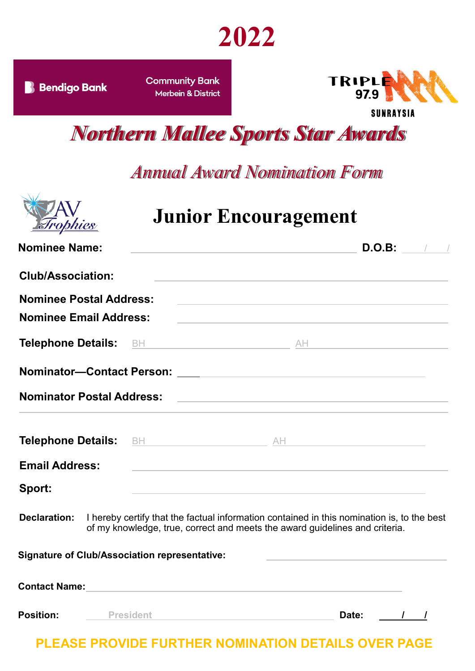## **2022**

**B** Bendigo Bank

**Community Bank** Merbein & District



**SUNRAYSIA** 

*Northern Mallee Sports Star Awards*

#### *Annual Award Nomination Form*



### **Junior Encouragement**

| <b>Nominee Name:</b>                                 |                  | <u> 1980 - Johann Stoff, amerikansk politiker (* 1900)</u>                                                                                                                                    |                                                                 | D.O.B:        |
|------------------------------------------------------|------------------|-----------------------------------------------------------------------------------------------------------------------------------------------------------------------------------------------|-----------------------------------------------------------------|---------------|
| <b>Club/Association:</b>                             |                  |                                                                                                                                                                                               |                                                                 |               |
| <b>Nominee Postal Address:</b>                       |                  | <u> 1989 - Johann Stoff, amerikansk politiker (d. 1989)</u>                                                                                                                                   |                                                                 |               |
| <b>Nominee Email Address:</b>                        |                  | the control of the control of the control of the control of the control of the control of                                                                                                     |                                                                 |               |
|                                                      |                  |                                                                                                                                                                                               |                                                                 |               |
|                                                      |                  |                                                                                                                                                                                               |                                                                 |               |
| <b>Nominator Postal Address:</b>                     |                  | <u> 1980 - Johann Barn, amerikansk politiker (d. 1980)</u>                                                                                                                                    |                                                                 |               |
|                                                      |                  |                                                                                                                                                                                               |                                                                 |               |
| <b>Email Address:</b>                                |                  | <u> 1980 - Johann Barn, amerikansk politiker (* 1908)</u>                                                                                                                                     |                                                                 |               |
| Sport:                                               |                  | the control of the control of the control of the control of the control of the control of                                                                                                     |                                                                 |               |
|                                                      |                  | <b>Declaration:</b> I hereby certify that the factual information contained in this nomination is, to the best<br>of my knowledge, true, correct and meets the award guidelines and criteria. |                                                                 |               |
| <b>Signature of Club/Association representative:</b> |                  |                                                                                                                                                                                               | the control of the control of the control of the control of the |               |
|                                                      |                  | Contact Name: <u>with a series of the series of the series of the series of the series of the series of the series of</u>                                                                     |                                                                 |               |
| <b>Position:</b>                                     | <b>President</b> |                                                                                                                                                                                               | Date:                                                           | $\frac{1}{2}$ |

**PLEASE PROVIDE FURTHER NOMINATION DETAILS OVER PAGE**